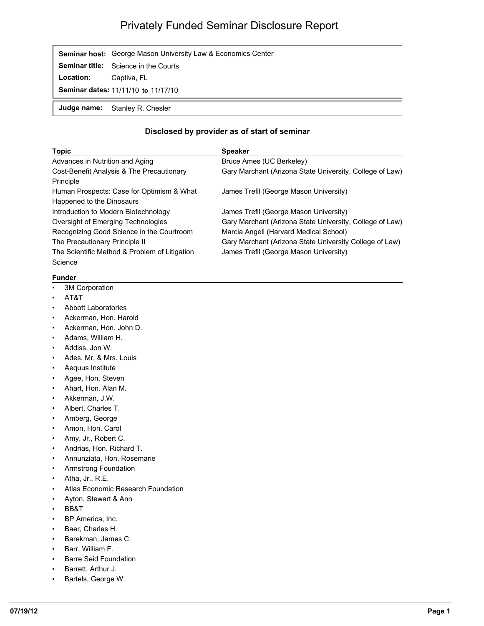## Privately Funded Seminar Disclosure Report

|                                            | <b>Seminar host:</b> George Mason University Law & Economics Center |  |
|--------------------------------------------|---------------------------------------------------------------------|--|
|                                            | <b>Seminar title:</b> Science in the Courts                         |  |
| Location:                                  | Captiva, FL                                                         |  |
| <b>Seminar dates: 11/11/10 to 11/17/10</b> |                                                                     |  |
|                                            | <b>Judge name:</b> Stanley R. Chesler                               |  |

## **Disclosed by provider as of start of seminar**

| <b>Topic</b>                                  | <b>Speaker</b>                                           |
|-----------------------------------------------|----------------------------------------------------------|
| Advances in Nutrition and Aging               | Bruce Ames (UC Berkeley)                                 |
| Cost-Benefit Analysis & The Precautionary     | Gary Marchant (Arizona State University, College of Law) |
| Principle                                     |                                                          |
| Human Prospects: Case for Optimism & What     | James Trefil (George Mason University)                   |
| Happened to the Dinosaurs                     |                                                          |
| Introduction to Modern Biotechnology          | James Trefil (George Mason University)                   |
| Oversight of Emerging Technologies            | Gary Marchant (Arizona State University, College of Law) |
| Recognizing Good Science in the Courtroom     | Marcia Angell (Harvard Medical School)                   |
| The Precautionary Principle II                | Gary Marchant (Arizona State University College of Law)  |
| The Scientific Method & Problem of Litigation | James Trefil (George Mason University)                   |
| Science                                       |                                                          |

## **Funder**

- 3M Corporation
- AT&T
- Abbott Laboratories
- Ackerman, Hon. Harold
- Ackerman, Hon. John D.
- Adams, William H.
- Addiss, Jon W.
- Ades, Mr. & Mrs. Louis
- Aequus Institute
- Agee, Hon. Steven
- Ahart, Hon. Alan M.
- Akkerman, J.W.
- Albert, Charles T.
- Amberg, George
- Amon, Hon. Carol
- Amy, Jr., Robert C.
- Andrias, Hon. Richard T.
- Annunziata, Hon. Rosemarie
- Armstrong Foundation
- Atha, Jr., R.E.
- Atlas Economic Research Foundation
- Ayton, Stewart & Ann
- BB&T
- BP America, Inc.
- Baer, Charles H.
- Barekman, James C.
- Barr, William F.
- Barre Seid Foundation
- Barrett, Arthur J.
- Bartels, George W.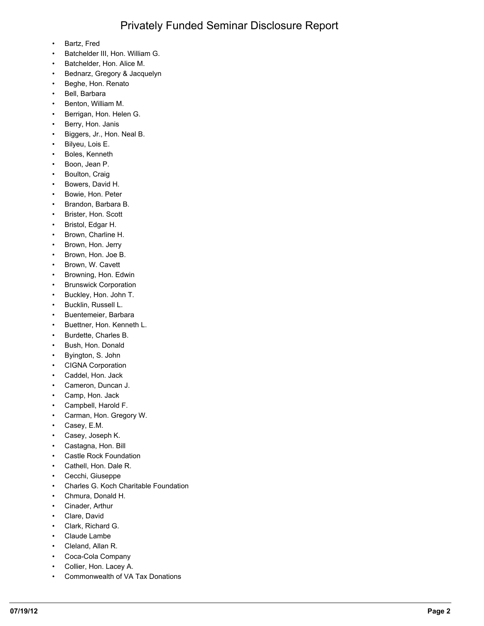- Bartz, Fred
- Batchelder III, Hon. William G.
- Batchelder, Hon. Alice M.
- Bednarz, Gregory & Jacquelyn
- Beghe, Hon. Renato
- Bell, Barbara
- Benton, William M.
- Berrigan, Hon. Helen G.
- Berry, Hon. Janis
- Biggers, Jr., Hon. Neal B.
- Bilyeu, Lois E.
- Boles, Kenneth
- Boon, Jean P.
- Boulton, Craig
- Bowers, David H.
- Bowie, Hon. Peter
- Brandon, Barbara B.
- Brister, Hon. Scott
- Bristol, Edgar H.
- Brown, Charline H.
- Brown, Hon. Jerry
- Brown, Hon. Joe B.
- Brown, W. Cavett
- Browning, Hon. Edwin
- Brunswick Corporation
- Buckley, Hon. John T.
- Bucklin, Russell L.
- Buentemeier, Barbara
- Buettner, Hon. Kenneth L.
- Burdette, Charles B.
- Bush, Hon. Donald
- Byington, S. John
- CIGNA Corporation
- Caddel, Hon. Jack
- Cameron, Duncan J.
- Camp, Hon. Jack
- Campbell, Harold F.
- Carman, Hon. Gregory W.
- Casey, E.M.
- Casey, Joseph K.
- Castagna, Hon. Bill
- Castle Rock Foundation
- Cathell, Hon. Dale R.
- Cecchi, Giuseppe
- Charles G. Koch Charitable Foundation
- Chmura, Donald H.
- Cinader, Arthur
- Clare, David
- Clark, Richard G.
- Claude Lambe
- Cleland, Allan R.
- Coca-Cola Company
- Collier, Hon. Lacey A.
- Commonwealth of VA Tax Donations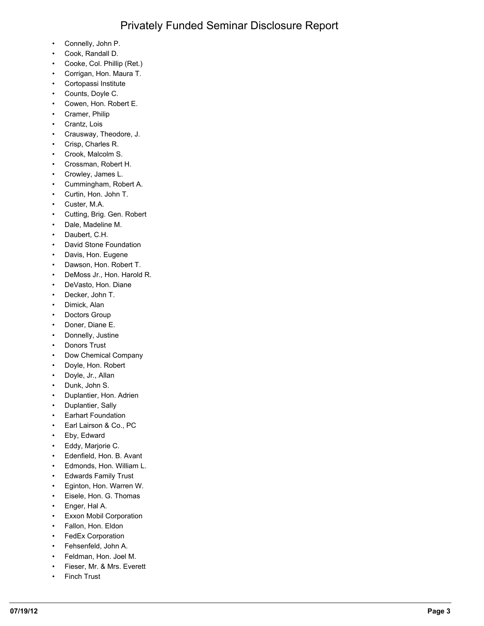- Connelly, John P.
- Cook, Randall D.
- Cooke, Col. Phillip (Ret.)
- Corrigan, Hon. Maura T.
- Cortopassi Institute
- Counts, Doyle C.
- Cowen, Hon. Robert E.
- Cramer, Philip
- Crantz, Lois
- Crausway, Theodore, J.
- Crisp, Charles R.
- Crook, Malcolm S.
- Crossman, Robert H.
- Crowley, James L.
- Cummingham, Robert A.
- Curtin, Hon. John T.
- Custer, M.A.
- Cutting, Brig. Gen. Robert
- Dale, Madeline M.
- Daubert, C.H.
- David Stone Foundation
- Davis, Hon. Eugene
- Dawson, Hon. Robert T.
- DeMoss Jr., Hon. Harold R.
- DeVasto, Hon. Diane
- Decker, John T.
- Dimick, Alan
- Doctors Group
- Doner, Diane E.
- Donnelly, Justine
- Donors Trust
- Dow Chemical Company
- Doyle, Hon. Robert
- Doyle, Jr., Allan
- Dunk, John S.
- Duplantier, Hon. Adrien
- Duplantier, Sally
- Earhart Foundation
- Earl Lairson & Co., PC
- Eby, Edward
- Eddy, Marjorie C.
- Edenfield, Hon. B. Avant
- Edmonds, Hon. William L.
- Edwards Family Trust
- Eginton, Hon. Warren W.
- Eisele, Hon. G. Thomas
- Enger, Hal A.
- Exxon Mobil Corporation
- Fallon, Hon. Eldon
- FedEx Corporation
- Fehsenfeld, John A.
- Feldman, Hon. Joel M.
- Fieser, Mr. & Mrs. Everett
- Finch Trust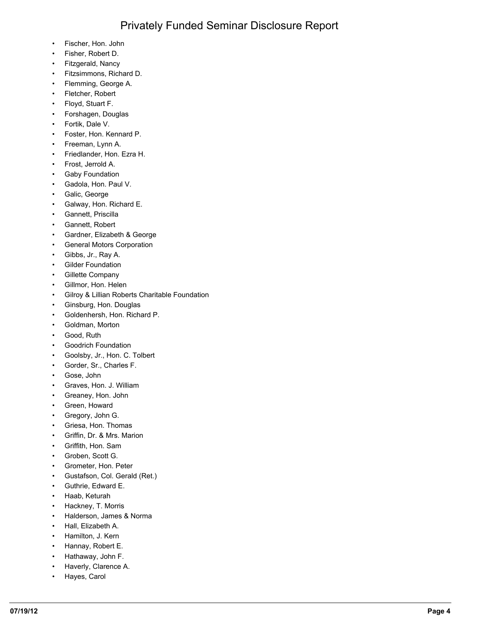- Fischer, Hon. John
- Fisher, Robert D.
- Fitzgerald, Nancy
- Fitzsimmons, Richard D.
- Flemming, George A.
- Fletcher, Robert
- Floyd, Stuart F.
- Forshagen, Douglas
- Fortik, Dale V.
- Foster, Hon. Kennard P.
- Freeman, Lynn A.
- Friedlander, Hon. Ezra H.
- Frost, Jerrold A.
- Gaby Foundation
- Gadola, Hon. Paul V.
- Galic, George
- Galway, Hon. Richard E.
- Gannett, Priscilla
- Gannett, Robert
- Gardner, Elizabeth & George
- General Motors Corporation
- Gibbs, Jr., Ray A.
- Gilder Foundation
- Gillette Company
- Gillmor, Hon. Helen
- Gilroy & Lillian Roberts Charitable Foundation
- Ginsburg, Hon. Douglas
- Goldenhersh, Hon. Richard P.
- Goldman, Morton
- Good, Ruth
- Goodrich Foundation
- Goolsby, Jr., Hon. C. Tolbert
- Gorder, Sr., Charles F.
- Gose, John
- Graves, Hon. J. William
- Greaney, Hon. John
- Green, Howard
- Gregory, John G.
- Griesa, Hon. Thomas
- Griffin, Dr. & Mrs. Marion
- Griffith, Hon. Sam
- Groben, Scott G.
- Grometer, Hon. Peter
- Gustafson, Col. Gerald (Ret.)
- Guthrie, Edward E.
- Haab, Keturah
- Hackney, T. Morris
- Halderson, James & Norma
- Hall, Elizabeth A.
- Hamilton, J. Kern
- Hannay, Robert E.
- Hathaway, John F.
- Haverly, Clarence A.
- Hayes, Carol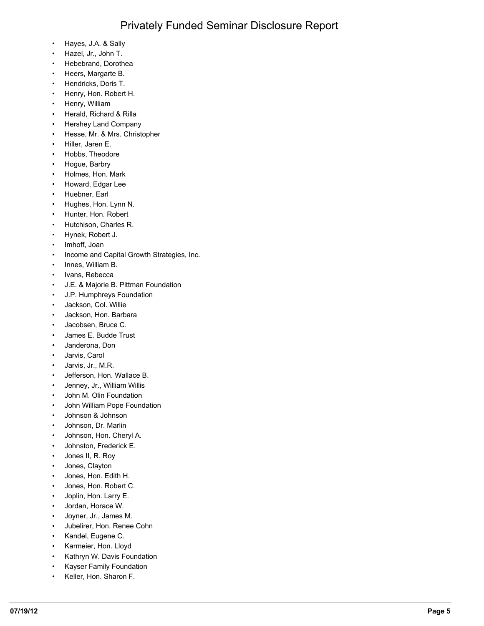- Hayes, J.A. & Sally
- Hazel, Jr., John T.
- Hebebrand, Dorothea
- Heers, Margarte B.
- Hendricks, Doris T.
- Henry, Hon. Robert H.
- Henry, William
- Herald, Richard & Rilla
- Hershey Land Company
- Hesse, Mr. & Mrs. Christopher
- Hiller, Jaren E.
- Hobbs, Theodore
- Hogue, Barbry
- Holmes, Hon. Mark
- Howard, Edgar Lee
- Huebner, Earl
- Hughes, Hon. Lynn N.
- Hunter, Hon. Robert
- Hutchison, Charles R.
- Hynek, Robert J.
- Imhoff, Joan
- Income and Capital Growth Strategies, Inc.
- Innes, William B.
- Ivans, Rebecca
- J.E. & Majorie B. Pittman Foundation
- J.P. Humphreys Foundation
- Jackson, Col. Willie
- Jackson, Hon. Barbara
- Jacobsen, Bruce C.
- James E. Budde Trust
- Janderona, Don
- Jarvis, Carol
- Jarvis, Jr., M.R.
- Jefferson, Hon. Wallace B.
- Jenney, Jr., William Willis
- John M. Olin Foundation
- John William Pope Foundation
- Johnson & Johnson
- Johnson, Dr. Marlin
- Johnson, Hon. Cheryl A.
- Johnston, Frederick E.
- Jones II, R. Roy
- Jones, Clayton
- Jones, Hon. Edith H.
- Jones, Hon. Robert C.
- Joplin, Hon. Larry E.
- Jordan, Horace W.
- Joyner, Jr., James M.
- Jubelirer, Hon. Renee Cohn
- Kandel, Eugene C.
- Karmeier, Hon. Lloyd
- Kathryn W. Davis Foundation
- Kayser Family Foundation
- Keller, Hon. Sharon F.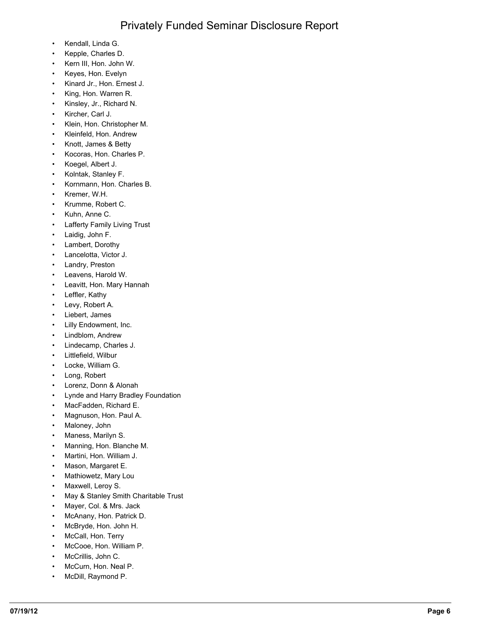- Kendall, Linda G.
- Kepple, Charles D.
- Kern III, Hon. John W.
- Keyes, Hon. Evelyn
- Kinard Jr., Hon. Ernest J.
- King, Hon. Warren R.
- Kinsley, Jr., Richard N.
- Kircher, Carl J.
- Klein, Hon. Christopher M.
- Kleinfeld, Hon. Andrew
- Knott, James & Betty
- Kocoras, Hon. Charles P.
- Koegel, Albert J.
- Kolntak, Stanley F.
- Kornmann, Hon. Charles B.
- Kremer, W.H.
- Krumme, Robert C.
- Kuhn, Anne C.
- Lafferty Family Living Trust
- Laidig, John F.
- Lambert, Dorothy
- Lancelotta, Victor J.
- Landry, Preston
- Leavens, Harold W.
- Leavitt, Hon. Mary Hannah
- Leffler, Kathy
- Levy, Robert A.
- Liebert, James
- Lilly Endowment, Inc.
- Lindblom, Andrew
- Lindecamp, Charles J.
- Littlefield, Wilbur
- Locke, William G.
- Long, Robert
- Lorenz, Donn & Alonah
- Lynde and Harry Bradley Foundation
- MacFadden, Richard E.
- Magnuson, Hon. Paul A.
- Maloney, John
- Maness, Marilyn S.
- Manning, Hon. Blanche M.
- Martini, Hon. William J.
- Mason, Margaret E.
- Mathiowetz, Mary Lou
- Maxwell, Leroy S.
- May & Stanley Smith Charitable Trust
- Mayer, Col. & Mrs. Jack
- McAnany, Hon. Patrick D.
- McBryde, Hon. John H.
- McCall, Hon. Terry
- McCooe, Hon. William P.
- McCrillis, John C.
- McCurn, Hon. Neal P.
- McDill, Raymond P.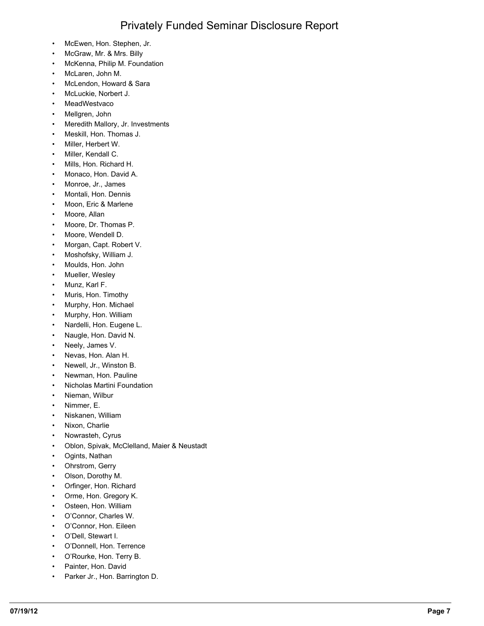- McEwen, Hon. Stephen, Jr.
- McGraw, Mr. & Mrs. Billy
- McKenna, Philip M. Foundation
- McLaren, John M.
- McLendon, Howard & Sara
- McLuckie, Norbert J.
- MeadWestvaco
- Mellgren, John
- Meredith Mallory, Jr. Investments
- Meskill, Hon. Thomas J.
- Miller, Herbert W.
- Miller, Kendall C.
- Mills, Hon. Richard H.
- Monaco, Hon. David A.
- Monroe, Jr., James
- Montali, Hon. Dennis
- Moon, Eric & Marlene
- Moore, Allan
- Moore, Dr. Thomas P.
- Moore, Wendell D.
- Morgan, Capt. Robert V.
- Moshofsky, William J.
- Moulds, Hon. John
- Mueller, Wesley
- Munz, Karl F.
- Muris, Hon. Timothy
- Murphy, Hon. Michael
- Murphy, Hon. William
- Nardelli, Hon. Eugene L.
- Naugle, Hon. David N.
- Neely, James V.
- Nevas, Hon. Alan H.
- Newell, Jr., Winston B.
- Newman, Hon. Pauline
- Nicholas Martini Foundation
- Nieman, Wilbur
- Nimmer, E.
- Niskanen, William
- Nixon, Charlie
- Nowrasteh, Cyrus
- Oblon, Spivak, McClelland, Maier & Neustadt
- Ogints, Nathan
- Ohrstrom, Gerry
- Olson, Dorothy M.
- Orfinger, Hon. Richard
- Orme, Hon. Gregory K.
- Osteen, Hon. William
- O'Connor, Charles W.
- O'Connor, Hon. Eileen
- O'Dell, Stewart I.
- O'Donnell, Hon. Terrence
- O'Rourke, Hon. Terry B.
- Painter, Hon. David
- Parker Jr., Hon. Barrington D.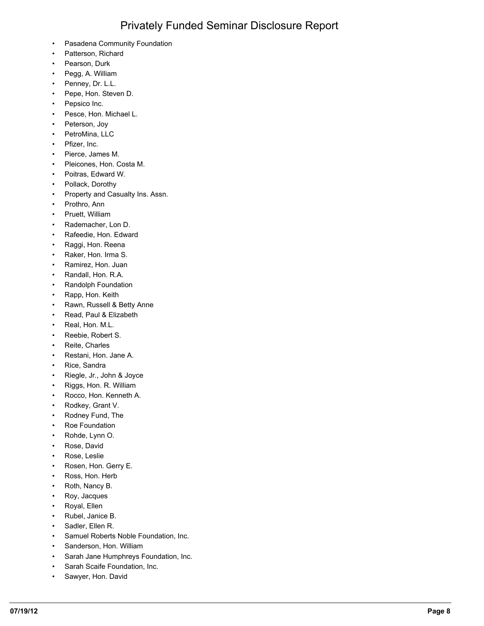- Pasadena Community Foundation
- Patterson, Richard
- Pearson, Durk
- Pegg, A. William
- Penney, Dr. L.L.
- Pepe, Hon. Steven D.
- Pepsico Inc.
- Pesce, Hon. Michael L.
- Peterson, Joy
- PetroMina, LLC
- Pfizer, Inc.
- Pierce, James M.
- Pleicones, Hon. Costa M.
- Poitras, Edward W.
- Pollack, Dorothy
- Property and Casualty Ins. Assn.
- Prothro, Ann
- Pruett, William
- Rademacher, Lon D.
- Rafeedie, Hon. Edward
- Raggi, Hon. Reena
- Raker, Hon. Irma S.
- Ramirez, Hon. Juan
- Randall, Hon. R.A.
- Randolph Foundation
- Rapp, Hon. Keith
- Rawn, Russell & Betty Anne
- Read, Paul & Elizabeth
- Real, Hon. M.L.
- Reebie, Robert S.
- Reite, Charles
- Restani, Hon. Jane A.
- Rice, Sandra
- Riegle, Jr., John & Joyce
- Riggs, Hon. R. William
- Rocco, Hon. Kenneth A.
- Rodkey, Grant V.
- Rodney Fund, The
- Roe Foundation
- Rohde, Lynn O.
- Rose, David
- Rose, Leslie
- Rosen, Hon. Gerry E.
- Ross, Hon. Herb
- Roth, Nancy B.
- Roy, Jacques
- Royal, Ellen
- Rubel, Janice B.
- Sadler, Ellen R.
- Samuel Roberts Noble Foundation, Inc.
- Sanderson, Hon. William
- Sarah Jane Humphreys Foundation, Inc.
- Sarah Scaife Foundation, Inc.
- Sawyer, Hon. David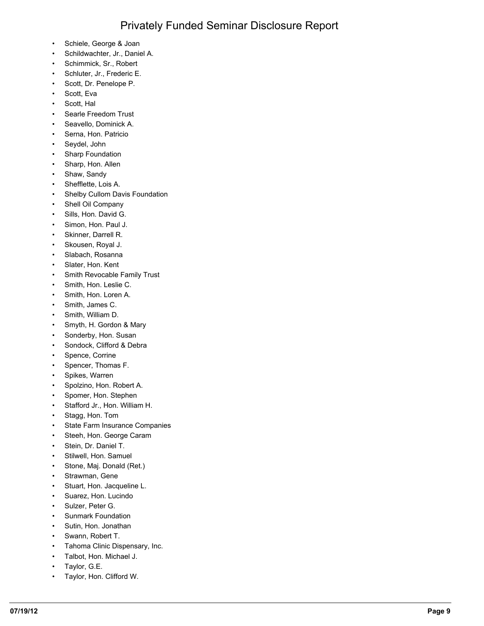- Schiele, George & Joan
- Schildwachter, Jr., Daniel A.
- Schimmick, Sr., Robert
- Schluter, Jr., Frederic E.
- Scott, Dr. Penelope P.
- Scott, Eva
- Scott, Hal
- Searle Freedom Trust
- Seavello, Dominick A.
- Serna, Hon. Patricio
- Seydel, John
- Sharp Foundation
- Sharp, Hon. Allen
- Shaw, Sandy
- Shefflette, Lois A.
- Shelby Cullom Davis Foundation
- Shell Oil Company
- Sills, Hon. David G.
- Simon, Hon. Paul J.
- Skinner, Darrell R.
- Skousen, Royal J.
- Slabach, Rosanna
- Slater, Hon. Kent
- Smith Revocable Family Trust
- Smith, Hon. Leslie C.
- Smith, Hon. Loren A.
- Smith, James C.
- Smith, William D.
- Smyth, H. Gordon & Mary
- Sonderby, Hon. Susan
- Sondock, Clifford & Debra
- Spence, Corrine
- Spencer, Thomas F.
- Spikes, Warren
- Spolzino, Hon. Robert A.
- Spomer, Hon. Stephen
- Stafford Jr., Hon. William H.
- Stagg, Hon. Tom
- State Farm Insurance Companies
- Steeh, Hon. George Caram
- Stein, Dr. Daniel T.
- Stilwell, Hon. Samuel
- Stone, Maj. Donald (Ret.)
- Strawman, Gene
- Stuart, Hon. Jacqueline L.
- Suarez, Hon. Lucindo
- Sulzer, Peter G.
- Sunmark Foundation
- Sutin, Hon. Jonathan
- Swann, Robert T.
- Tahoma Clinic Dispensary, Inc.
- Talbot, Hon. Michael J.
- Taylor, G.E.
- Taylor, Hon. Clifford W.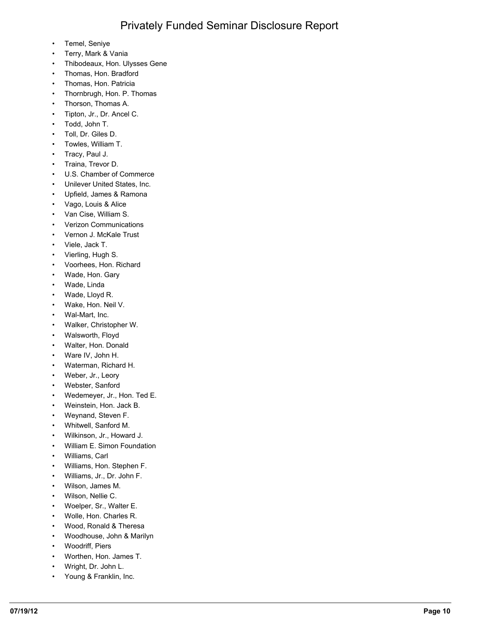- Temel, Seniye
- Terry, Mark & Vania
- Thibodeaux, Hon. Ulysses Gene
- Thomas, Hon. Bradford
- Thomas, Hon. Patricia
- Thornbrugh, Hon. P. Thomas
- Thorson, Thomas A.
- Tipton, Jr., Dr. Ancel C.
- Todd, John T.
- Toll, Dr. Giles D.
- Towles, William T.
- Tracy, Paul J.
- Traina, Trevor D.
- U.S. Chamber of Commerce
- Unilever United States, Inc.
- Upfield, James & Ramona
- Vago, Louis & Alice
- Van Cise, William S.
- Verizon Communications
- Vernon J. McKale Trust
- Viele, Jack T.
- Vierling, Hugh S.
- Voorhees, Hon. Richard
- Wade, Hon. Gary
- Wade, Linda
- Wade, Lloyd R.
- Wake, Hon. Neil V.
- Wal-Mart, Inc.
- Walker, Christopher W.
- Walsworth, Floyd
- Walter, Hon. Donald
- Ware IV, John H.
- Waterman, Richard H.
- Weber, Jr., Leory
- Webster, Sanford
- Wedemeyer, Jr., Hon. Ted E.
- Weinstein, Hon. Jack B.
- Weynand, Steven F.
- Whitwell, Sanford M.
- Wilkinson, Jr., Howard J.
- William E. Simon Foundation
- Williams, Carl
- Williams, Hon. Stephen F.
- Williams, Jr., Dr. John F.
- Wilson, James M.
- Wilson, Nellie C.
- Woelper, Sr., Walter E.
- Wolle, Hon. Charles R.
- Wood, Ronald & Theresa
- Woodhouse, John & Marilyn
- Woodriff, Piers
- Worthen, Hon. James T.
- Wright, Dr. John L.
- Young & Franklin, Inc.